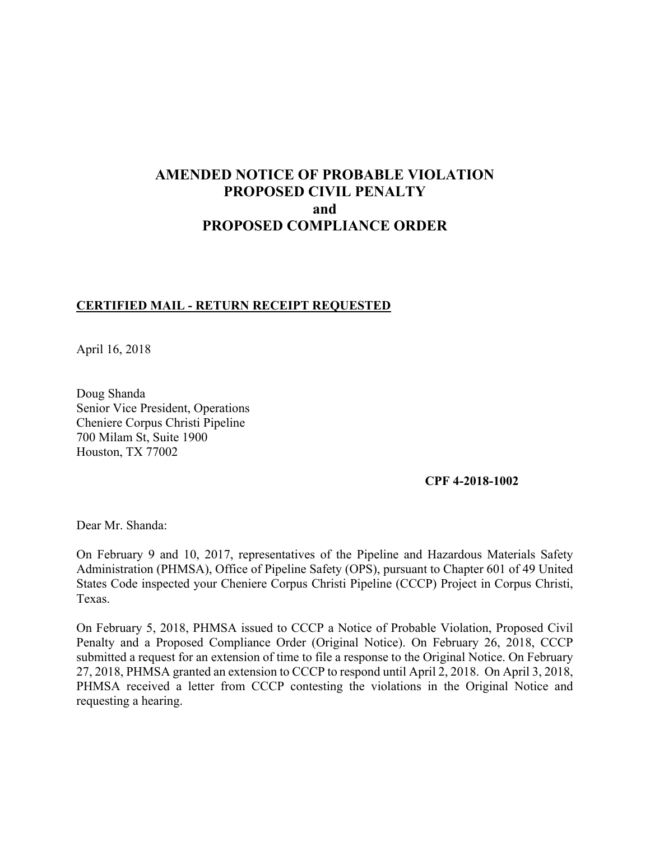# **AMENDED NOTICE OF PROBABLE VIOLATION PROPOSED CIVIL PENALTY and PROPOSED COMPLIANCE ORDER**

## **CERTIFIED MAIL - RETURN RECEIPT REQUESTED**

April 16, 2018

Doug Shanda Senior Vice President, Operations Cheniere Corpus Christi Pipeline 700 Milam St, Suite 1900 Houston, TX 77002

**CPF 4-2018-1002** 

Dear Mr. Shanda:

On February 9 and 10, 2017, representatives of the Pipeline and Hazardous Materials Safety Administration (PHMSA), Office of Pipeline Safety (OPS), pursuant to Chapter 601 of 49 United States Code inspected your Cheniere Corpus Christi Pipeline (CCCP) Project in Corpus Christi, Texas.

On February 5, 2018, PHMSA issued to CCCP a Notice of Probable Violation, Proposed Civil Penalty and a Proposed Compliance Order (Original Notice). On February 26, 2018, CCCP submitted a request for an extension of time to file a response to the Original Notice. On February 27, 2018, PHMSA granted an extension to CCCP to respond until April 2, 2018. On April 3, 2018, PHMSA received a letter from CCCP contesting the violations in the Original Notice and requesting a hearing.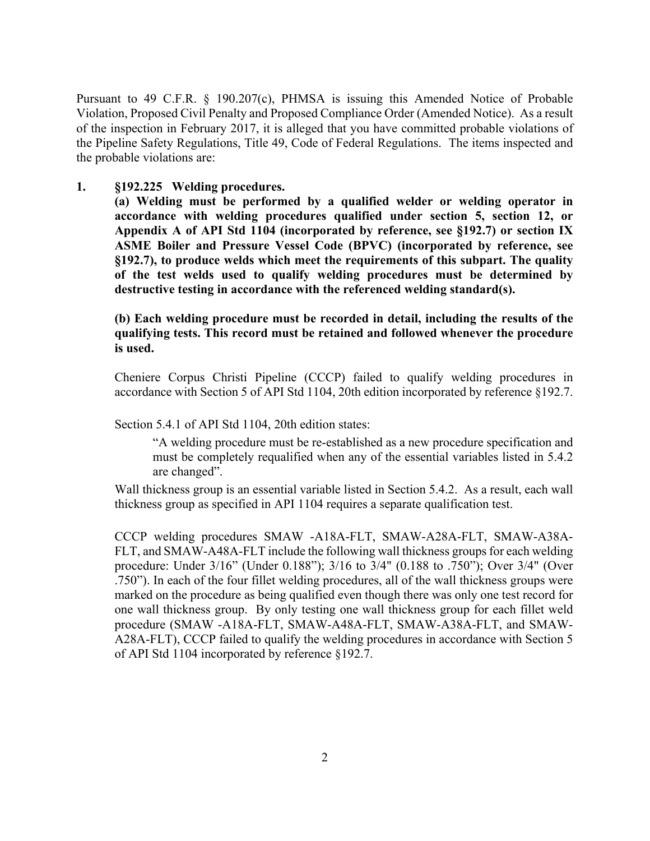the Pipeline Safety Regulations, Title 49, Code of Federal Regulations. The items inspected and Pursuant to 49 C.F.R. § 190.207(c), PHMSA is issuing this Amended Notice of Probable Violation, Proposed Civil Penalty and Proposed Compliance Order (Amended Notice). As a result of the inspection in February 2017, it is alleged that you have committed probable violations of the probable violations are:

## **1. §192.225 Welding procedures.**

 **accordance with welding procedures qualified under section 5, section 12, or ASME Boiler and Pressure Vessel Code (BPVC) (incorporated by reference, see (a) Welding must be performed by a qualified welder or welding operator in Appendix A of API Std 1104 (incorporated by reference, see §192.7) or section IX §192.7), to produce welds which meet the requirements of this subpart. The quality of the test welds used to qualify welding procedures must be determined by destructive testing in accordance with the referenced welding standard(s).**

**(b) Each welding procedure must be recorded in detail, including the results of the qualifying tests. This record must be retained and followed whenever the procedure is used.** 

Cheniere Corpus Christi Pipeline (CCCP) failed to qualify welding procedures in accordance with Section 5 of API Std 1104, 20th edition incorporated by reference §192.7.

Section 5.4.1 of API Std 1104, 20th edition states:

"A welding procedure must be re-established as a new procedure specification and must be completely requalified when any of the essential variables listed in 5.4.2 are changed".

 thickness group as specified in API 1104 requires a separate qualification test. Wall thickness group is an essential variable listed in Section 5.4.2. As a result, each wall

CCCP welding procedures SMAW -A18A-FLT, SMAW-A28A-FLT, SMAW-A38A-FLT, and SMAW-A48A-FLT include the following wall thickness groups for each welding procedure: Under 3/16" (Under 0.188"); 3/16 to 3/4" (0.188 to .750"); Over 3/4" (Over .750"). In each of the four fillet welding procedures, all of the wall thickness groups were marked on the procedure as being qualified even though there was only one test record for one wall thickness group. By only testing one wall thickness group for each fillet weld procedure (SMAW -A18A-FLT, SMAW-A48A-FLT, SMAW-A38A-FLT, and SMAW-A28A-FLT), CCCP failed to qualify the welding procedures in accordance with Section 5 of API Std 1104 incorporated by reference §192.7.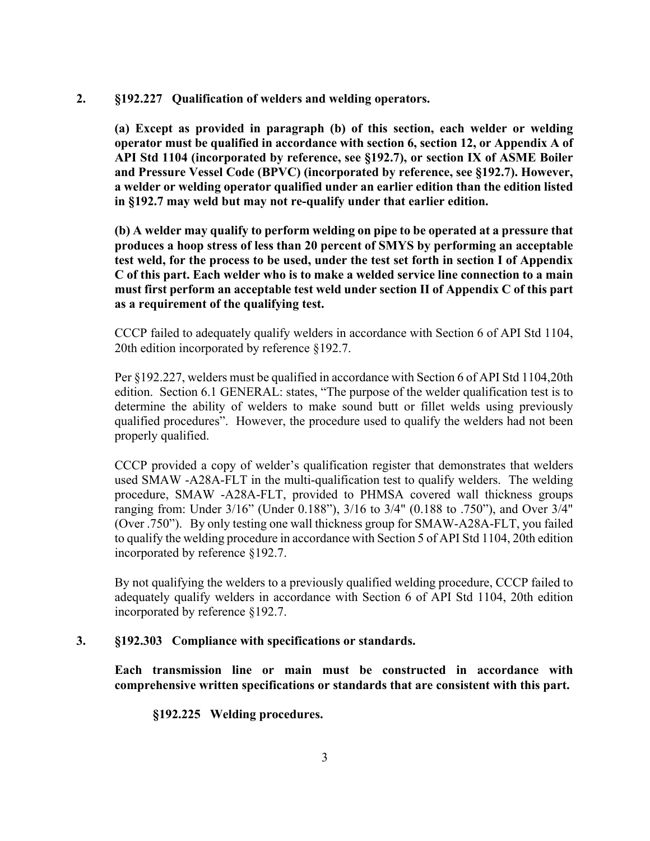### **2. §192.227 Qualification of welders and welding operators.**

 **API Std 1104 (incorporated by reference, see §192.7), or section IX of ASME Boiler (a) Except as provided in paragraph (b) of this section, each welder or welding operator must be qualified in accordance with section 6, section 12, or Appendix A of and Pressure Vessel Code (BPVC) (incorporated by reference, see §192.7). However, a welder or welding operator qualified under an earlier edition than the edition listed in §192.7 may weld but may not re-qualify under that earlier edition.** 

 **C of this part. Each welder who is to make a welded service line connection to a main (b) A welder may qualify to perform welding on pipe to be operated at a pressure that produces a hoop stress of less than 20 percent of SMYS by performing an acceptable test weld, for the process to be used, under the test set forth in section I of Appendix must first perform an acceptable test weld under section II of Appendix C of this part as a requirement of the qualifying test.** 

CCCP failed to adequately qualify welders in accordance with Section 6 of API Std 1104, 20th edition incorporated by reference §192.7.

Per §192.227, welders must be qualified in accordance with Section 6 of API Std 1104,20th edition. Section 6.1 GENERAL: states, "The purpose of the welder qualification test is to determine the ability of welders to make sound butt or fillet welds using previously qualified procedures". However, the procedure used to qualify the welders had not been properly qualified.

 (Over .750"). By only testing one wall thickness group for SMAW-A28A-FLT, you failed to qualify the welding procedure in accordance with Section 5 of API Std 1104, 20th edition CCCP provided a copy of welder's qualification register that demonstrates that welders used SMAW -A28A-FLT in the multi-qualification test to qualify welders. The welding procedure, SMAW -A28A-FLT, provided to PHMSA covered wall thickness groups ranging from: Under 3/16" (Under 0.188"), 3/16 to 3/4" (0.188 to .750"), and Over 3/4" incorporated by reference §192.7.

 By not qualifying the welders to a previously qualified welding procedure, CCCP failed to adequately qualify welders in accordance with Section 6 of API Std 1104, 20th edition incorporated by reference §192.7.

## **3. §192.303 Compliance with specifications or standards.**

**Each transmission line or main must be constructed in accordance with comprehensive written specifications or standards that are consistent with this part.** 

**§192.225 Welding procedures.**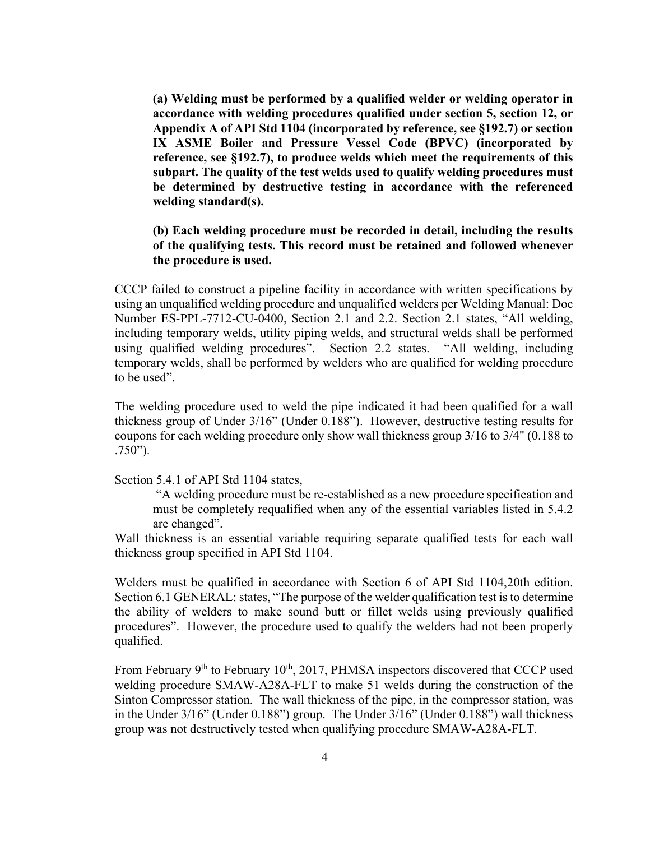**(a) Welding must be performed by a qualified welder or welding operator in accordance with welding procedures qualified under section 5, section 12, or Appendix A of API Std 1104 (incorporated by reference, see §192.7) or section IX ASME Boiler and Pressure Vessel Code (BPVC) (incorporated by reference, see §192.7), to produce welds which meet the requirements of this subpart. The quality of the test welds used to qualify welding procedures must be determined by destructive testing in accordance with the referenced welding standard(s).**

## **(b) Each welding procedure must be recorded in detail, including the results of the qualifying tests. This record must be retained and followed whenever the procedure is used.**

CCCP failed to construct a pipeline facility in accordance with written specifications by using an unqualified welding procedure and unqualified welders per Welding Manual: Doc Number ES-PPL-7712-CU-0400, Section 2.1 and 2.2. Section 2.1 states, "All welding, including temporary welds, utility piping welds, and structural welds shall be performed using qualified welding procedures". Section 2.2 states. "All welding, including temporary welds, shall be performed by welders who are qualified for welding procedure to be used".

 The welding procedure used to weld the pipe indicated it had been qualified for a wall thickness group of Under 3/16" (Under 0.188"). However, destructive testing results for coupons for each welding procedure only show wall thickness group 3/16 to 3/4" (0.188 to .750").

Section 5.4.1 of API Std 1104 states,

 "A welding procedure must be re-established as a new procedure specification and must be completely requalified when any of the essential variables listed in 5.4.2 are changed".

Wall thickness is an essential variable requiring separate qualified tests for each wall thickness group specified in API Std 1104.

 Section 6.1 GENERAL: states, "The purpose of the welder qualification test is to determine procedures". However, the procedure used to qualify the welders had not been properly Welders must be qualified in accordance with Section 6 of API Std 1104,20th edition. the ability of welders to make sound butt or fillet welds using previously qualified qualified.

From February 9<sup>th</sup> to February 10<sup>th</sup>, 2017, PHMSA inspectors discovered that CCCP used welding procedure SMAW-A28A-FLT to make 51 welds during the construction of the Sinton Compressor station. The wall thickness of the pipe, in the compressor station, was in the Under 3/16" (Under 0.188") group. The Under 3/16" (Under 0.188") wall thickness group was not destructively tested when qualifying procedure SMAW-A28A-FLT.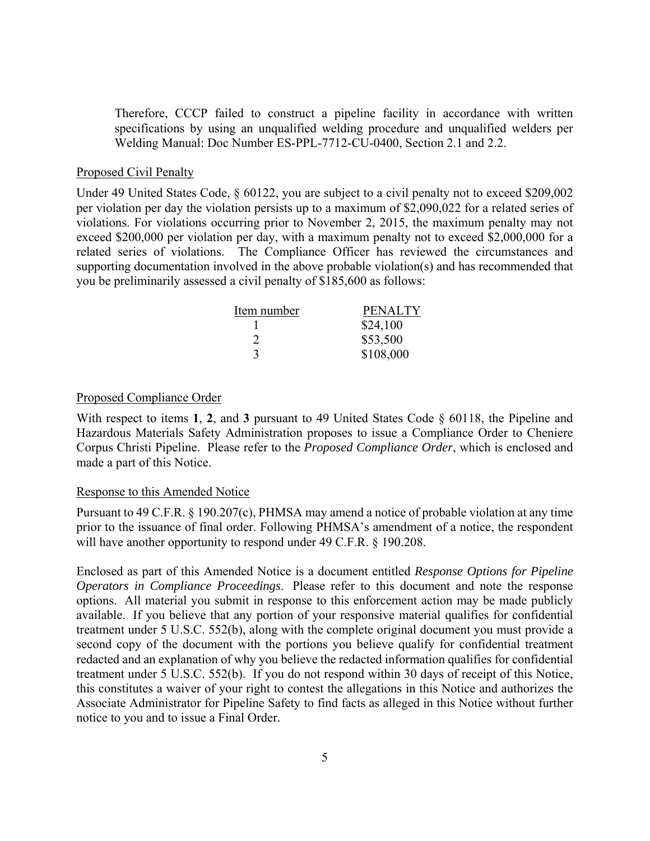Therefore, CCCP failed to construct a pipeline facility in accordance with written specifications by using an unqualified welding procedure and unqualified welders per Welding Manual: Doc Number ES-PPL-7712-CU-0400, Section 2.1 and 2.2.

#### Proposed Civil Penalty

Under 49 United States Code, § 60122, you are subject to a civil penalty not to exceed \$209,002 per violation per day the violation persists up to a maximum of \$2,090,022 for a related series of violations. For violations occurring prior to November 2, 2015, the maximum penalty may not exceed \$200,000 per violation per day, with a maximum penalty not to exceed \$2,000,000 for a related series of violations. The Compliance Officer has reviewed the circumstances and supporting documentation involved in the above probable violation(s) and has recommended that you be preliminarily assessed a civil penalty of \$185,600 as follows:

| Item number | <b>PENALTY</b> |
|-------------|----------------|
|             | \$24,100       |
|             | \$53,500       |
| 3           | \$108,000      |

#### Proposed Compliance Order

 Corpus Christi Pipeline. Please refer to the *Proposed Compliance Order*, which is enclosed and With respect to items **1**, **2**, and **3** pursuant to 49 United States Code § 60118, the Pipeline and Hazardous Materials Safety Administration proposes to issue a Compliance Order to Cheniere made a part of this Notice.

#### Response to this Amended Notice

Pursuant to 49 C.F.R. § 190.207(c), PHMSA may amend a notice of probable violation at any time prior to the issuance of final order. Following PHMSA's amendment of a notice, the respondent will have another opportunity to respond under 49 C.F.R. § 190.208.

 treatment under 5 U.S.C. 552(b), along with the complete original document you must provide a Enclosed as part of this Amended Notice is a document entitled *Response Options for Pipeline Operators in Compliance Proceedings*. Please refer to this document and note the response options. All material you submit in response to this enforcement action may be made publicly available. If you believe that any portion of your responsive material qualifies for confidential second copy of the document with the portions you believe qualify for confidential treatment redacted and an explanation of why you believe the redacted information qualifies for confidential treatment under 5 U.S.C. 552(b). If you do not respond within 30 days of receipt of this Notice, this constitutes a waiver of your right to contest the allegations in this Notice and authorizes the Associate Administrator for Pipeline Safety to find facts as alleged in this Notice without further notice to you and to issue a Final Order.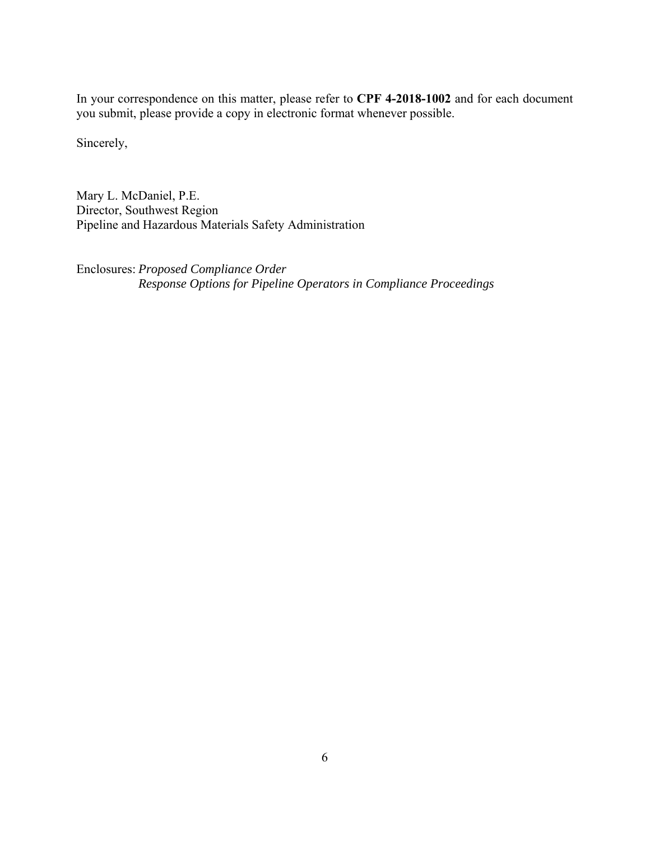In your correspondence on this matter, please refer to **CPF 4-2018-1002** and for each document you submit, please provide a copy in electronic format whenever possible.

Sincerely,

Mary L. McDaniel, P.E. Director, Southwest Region Pipeline and Hazardous Materials Safety Administration

Enclosures: *Proposed Compliance Order Response Options for Pipeline Operators in Compliance Proceedings*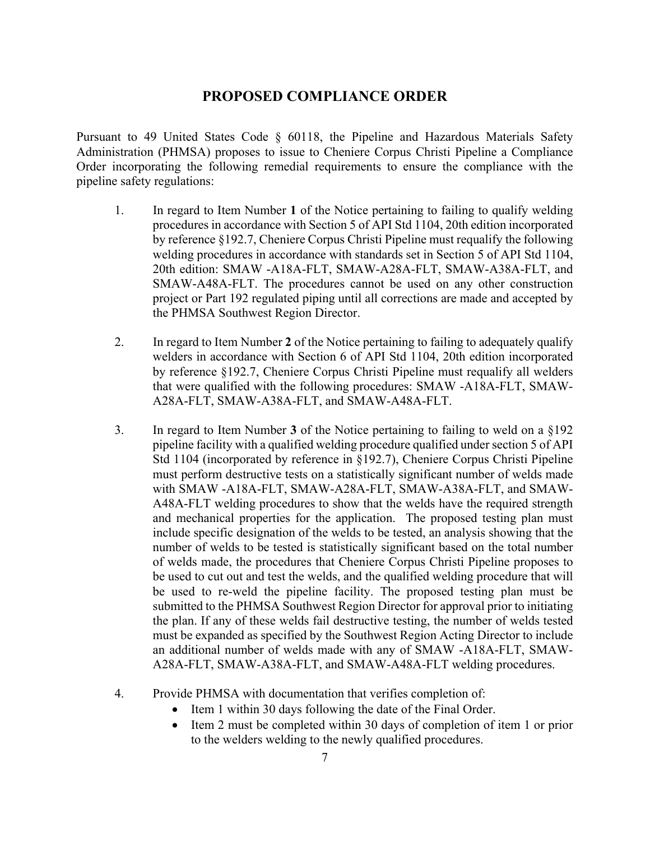# **PROPOSED COMPLIANCE ORDER**

Pursuant to 49 United States Code § 60118, the Pipeline and Hazardous Materials Safety Administration (PHMSA) proposes to issue to Cheniere Corpus Christi Pipeline a Compliance Order incorporating the following remedial requirements to ensure the compliance with the pipeline safety regulations:

- 1. In regard to Item Number **1** of the Notice pertaining to failing to qualify welding welding procedures in accordance with standards set in Section 5 of API Std 1104, procedures in accordance with Section 5 of API Std 1104, 20th edition incorporated by reference §192.7, Cheniere Corpus Christi Pipeline must requalify the following 20th edition: SMAW -A18A-FLT, SMAW-A28A-FLT, SMAW-A38A-FLT, and SMAW-A48A-FLT. The procedures cannot be used on any other construction project or Part 192 regulated piping until all corrections are made and accepted by the PHMSA Southwest Region Director.
- 2. In regard to Item Number **2** of the Notice pertaining to failing to adequately qualify welders in accordance with Section 6 of API Std 1104, 20th edition incorporated by reference §192.7, Cheniere Corpus Christi Pipeline must requalify all welders that were qualified with the following procedures: SMAW -A18A-FLT, SMAW-A28A-FLT, SMAW-A38A-FLT, and SMAW-A48A-FLT.
- must perform destructive tests on a statistically significant number of welds made number of welds to be tested is statistically significant based on the total number an additional number of welds made with any of SMAW -A18A-FLT, SMAW-3. In regard to Item Number **3** of the Notice pertaining to failing to weld on a §192 pipeline facility with a qualified welding procedure qualified under section 5 of API Std 1104 (incorporated by reference in §192.7), Cheniere Corpus Christi Pipeline with SMAW -A18A-FLT, SMAW-A28A-FLT, SMAW-A38A-FLT, and SMAW-A48A-FLT welding procedures to show that the welds have the required strength and mechanical properties for the application. The proposed testing plan must include specific designation of the welds to be tested, an analysis showing that the of welds made, the procedures that Cheniere Corpus Christi Pipeline proposes to be used to cut out and test the welds, and the qualified welding procedure that will be used to re-weld the pipeline facility. The proposed testing plan must be submitted to the PHMSA Southwest Region Director for approval prior to initiating the plan. If any of these welds fail destructive testing, the number of welds tested must be expanded as specified by the Southwest Region Acting Director to include A28A-FLT, SMAW-A38A-FLT, and SMAW-A48A-FLT welding procedures.
- 4. Provide PHMSA with documentation that verifies completion of:
	- Item 1 within 30 days following the date of the Final Order.
	- Item 2 must be completed within 30 days of completion of item 1 or prior to the welders welding to the newly qualified procedures.